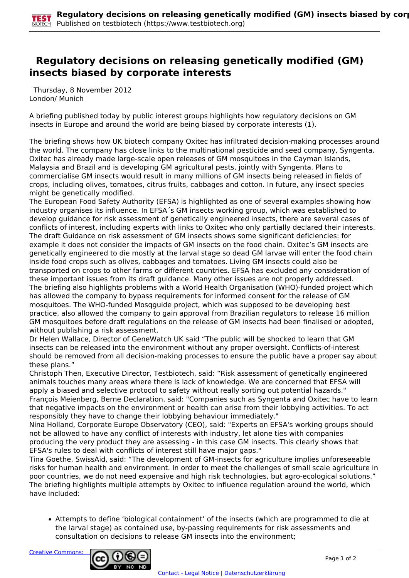## **Regulatory decisions on releasing genetically modified (GM) insects biased by corporate interests**

 Thursday, 8 November 2012 London/ Munich

A briefing published today by public interest groups highlights how regulatory decisions on GM insects in Europe and around the world are being biased by corporate interests (1).

The briefing shows how UK biotech company Oxitec has infiltrated decision-making processes around the world. The company has close links to the multinational pesticide and seed company, Syngenta. Oxitec has already made large-scale open releases of GM mosquitoes in the Cayman Islands, Malaysia and Brazil and is developing GM agricultural pests, jointly with Syngenta. Plans to commercialise GM insects would result in many millions of GM insects being released in fields of crops, including olives, tomatoes, citrus fruits, cabbages and cotton. In future, any insect species might be genetically modified.

The European Food Safety Authority (EFSA) is highlighted as one of several examples showing how industry organises its influence. In EFSA´s GM insects working group, which was established to develop guidance for risk assessment of genetically engineered insects, there are several cases of conflicts of interest, including experts with links to Oxitec who only partially declared their interests. The draft Guidance on risk assessment of GM insects shows some significant deficiencies: for example it does not consider the impacts of GM insects on the food chain. Oxitec's GM insects are genetically engineered to die mostly at the larval stage so dead GM larvae will enter the food chain inside food crops such as olives, cabbages and tomatoes. Living GM insects could also be transported on crops to other farms or different countries. EFSA has excluded any consideration of these important issues from its draft guidance. Many other issues are not properly addressed. The briefing also highlights problems with a World Health Organisation (WHO)-funded project which has allowed the company to bypass requirements for informed consent for the release of GM mosquitoes. The WHO-funded Mosqguide project, which was supposed to be developing best practice, also allowed the company to gain approval from Brazilian regulators to release 16 million GM mosquitoes before draft regulations on the release of GM insects had been finalised or adopted, without publishing a risk assessment.

Dr Helen Wallace, Director of GeneWatch UK said "The public will be shocked to learn that GM insects can be released into the environment without any proper oversight. Conflicts-of-interest should be removed from all decision-making processes to ensure the public have a proper say about these plans."

Christoph Then, Executive Director, Testbiotech, said: "Risk assessment of genetically engineered animals touches many areas where there is lack of knowledge. We are concerned that EFSA will apply a biased and selective protocol to safety without really sorting out potential hazards." François Meienberg, Berne Declaration, said: "Companies such as Syngenta and Oxitec have to learn that negative impacts on the environment or health can arise from their lobbying activities. To act responsibly they have to change their lobbying behaviour immediately."

Nina Holland, Corporate Europe Observatory (CEO), said: "Experts on EFSA's working groups should not be allowed to have any conflict of interests with industry, let alone ties with companies producing the very product they are assessing - in this case GM insects. This clearly shows that EFSA's rules to deal with conflicts of interest still have major gaps."

Tina Goethe, SwissAid, said: "The development of GM-insects for agriculture implies unforeseeable risks for human health and environment. In order to meet the challenges of small scale agriculture in poor countries, we do not need expensive and high risk technologies, but agro-ecological solutions." The briefing highlights multiple attempts by Oxitec to influence regulation around the world, which have included:

Attempts to define 'biological containment' of the insects (which are programmed to die at the larval stage) as contained use, by-passing requirements for risk assessments and consultation on decisions to release GM insects into the environment;